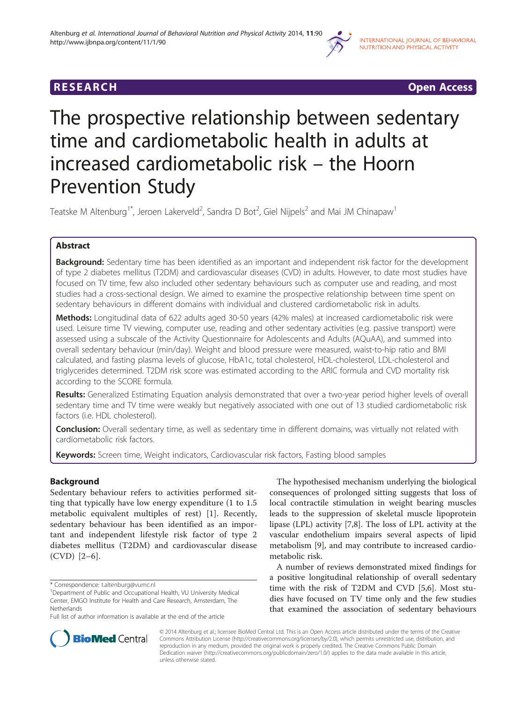

**RESEARCH RESEARCH CONSUMING ACCESS** 

# The prospective relationship between sedentary time and cardiometabolic health in adults at increased cardiometabolic risk – the Hoorn Prevention Study

Teatske M Altenburg<sup>1\*</sup>, Jeroen Lakerveld<sup>2</sup>, Sandra D Bot<sup>2</sup>, Giel Nijpels<sup>2</sup> and Mai JM Chinapaw<sup>1</sup>

# Abstract

**Background:** Sedentary time has been identified as an important and independent risk factor for the development of type 2 diabetes mellitus (T2DM) and cardiovascular diseases (CVD) in adults. However, to date most studies have focused on TV time, few also included other sedentary behaviours such as computer use and reading, and most studies had a cross-sectional design. We aimed to examine the prospective relationship between time spent on sedentary behaviours in different domains with individual and clustered cardiometabolic risk in adults.

Methods: Longitudinal data of 622 adults aged 30-50 years (42% males) at increased cardiometabolic risk were used. Leisure time TV viewing, computer use, reading and other sedentary activities (e.g. passive transport) were assessed using a subscale of the Activity Questionnaire for Adolescents and Adults (AQuAA), and summed into overall sedentary behaviour (min/day). Weight and blood pressure were measured, waist-to-hip ratio and BMI calculated, and fasting plasma levels of glucose, HbA1c, total cholesterol, HDL-cholesterol, LDL-cholesterol and triglycerides determined. T2DM risk score was estimated according to the ARIC formula and CVD mortality risk according to the SCORE formula.

Results: Generalized Estimating Equation analysis demonstrated that over a two-year period higher levels of overall sedentary time and TV time were weakly but negatively associated with one out of 13 studied cardiometabolic risk factors (i.e. HDL cholesterol).

**Conclusion:** Overall sedentary time, as well as sedentary time in different domains, was virtually not related with cardiometabolic risk factors.

Keywords: Screen time, Weight indicators, Cardiovascular risk factors, Fasting blood samples

## Background

Sedentary behaviour refers to activities performed sitting that typically have low energy expenditure (1 to 1.5 metabolic equivalent multiples of rest) [[1\]](#page-5-0). Recently, sedentary behaviour has been identified as an important and independent lifestyle risk factor of type 2 diabetes mellitus (T2DM) and cardiovascular disease (CVD) [[2](#page-5-0)–[6](#page-5-0)].

The hypothesised mechanism underlying the biological consequences of prolonged sitting suggests that loss of local contractile stimulation in weight bearing muscles leads to the suppression of skeletal muscle lipoprotein lipase (LPL) activity [[7,8\]](#page-5-0). The loss of LPL activity at the vascular endothelium impairs several aspects of lipid metabolism [[9\]](#page-5-0), and may contribute to increased cardiometabolic risk.

A number of reviews demonstrated mixed findings for a positive longitudinal relationship of overall sedentary time with the risk of T2DM and CVD [\[5,6\]](#page-5-0). Most studies have focused on TV time only and the few studies that examined the association of sedentary behaviours



© 2014 Altenburg et al.; licensee BioMed Central Ltd. This is an Open Access article distributed under the terms of the Creative Commons Attribution License [\(http://creativecommons.org/licenses/by/2.0\)](http://creativecommons.org/licenses/by/2.0), which permits unrestricted use, distribution, and reproduction in any medium, provided the original work is properly credited. The Creative Commons Public Domain Dedication waiver [\(http://creativecommons.org/publicdomain/zero/1.0/](http://creativecommons.org/publicdomain/zero/1.0/)) applies to the data made available in this article, unless otherwise stated.

<sup>\*</sup> Correspondence: [t.altenburg@vumc.nl](mailto:t.altenburg@vumc.nl) <sup>1</sup>

Department of Public and Occupational Health, VU University Medical Center, EMGO Institute for Health and Care Research, Amsterdam, The Netherlands

Full list of author information is available at the end of the article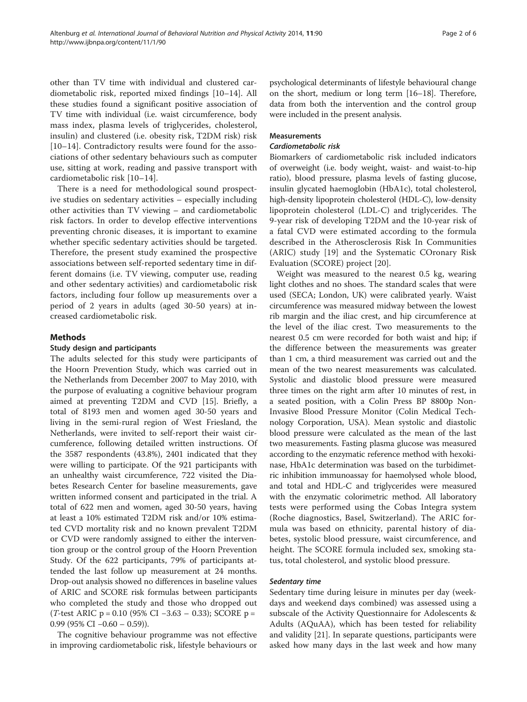other than TV time with individual and clustered cardiometabolic risk, reported mixed findings [\[10](#page-5-0)–[14](#page-5-0)]. All these studies found a significant positive association of TV time with individual (i.e. waist circumference, body mass index, plasma levels of triglycerides, cholesterol, insulin) and clustered (i.e. obesity risk, T2DM risk) risk [[10](#page-5-0)–[14\]](#page-5-0). Contradictory results were found for the associations of other sedentary behaviours such as computer use, sitting at work, reading and passive transport with cardiometabolic risk [[10](#page-5-0)–[14](#page-5-0)].

There is a need for methodological sound prospective studies on sedentary activities – especially including other activities than TV viewing – and cardiometabolic risk factors. In order to develop effective interventions preventing chronic diseases, it is important to examine whether specific sedentary activities should be targeted. Therefore, the present study examined the prospective associations between self-reported sedentary time in different domains (i.e. TV viewing, computer use, reading and other sedentary activities) and cardiometabolic risk factors, including four follow up measurements over a period of 2 years in adults (aged 30-50 years) at increased cardiometabolic risk.

#### Methods

#### Study design and participants

The adults selected for this study were participants of the Hoorn Prevention Study, which was carried out in the Netherlands from December 2007 to May 2010, with the purpose of evaluating a cognitive behaviour program aimed at preventing T2DM and CVD [[15\]](#page-5-0). Briefly, a total of 8193 men and women aged 30-50 years and living in the semi-rural region of West Friesland, the Netherlands, were invited to self-report their waist circumference, following detailed written instructions. Of the 3587 respondents (43.8%), 2401 indicated that they were willing to participate. Of the 921 participants with an unhealthy waist circumference, 722 visited the Diabetes Research Center for baseline measurements, gave written informed consent and participated in the trial. A total of 622 men and women, aged 30-50 years, having at least a 10% estimated T2DM risk and/or 10% estimated CVD mortality risk and no known prevalent T2DM or CVD were randomly assigned to either the intervention group or the control group of the Hoorn Prevention Study. Of the 622 participants, 79% of participants attended the last follow up measurement at 24 months. Drop-out analysis showed no differences in baseline values of ARIC and SCORE risk formulas between participants who completed the study and those who dropped out (T-test ARIC p = 0.10 (95% CI −3.63 – 0.33); SCORE p =  $0.99$  (95% CI  $-0.60 - 0.59$ )).

The cognitive behaviour programme was not effective in improving cardiometabolic risk, lifestyle behaviours or psychological determinants of lifestyle behavioural change on the short, medium or long term [\[16](#page-5-0)–[18](#page-5-0)]. Therefore, data from both the intervention and the control group were included in the present analysis.

#### Measurements

#### Cardiometabolic risk

Biomarkers of cardiometabolic risk included indicators of overweight (i.e. body weight, waist- and waist-to-hip ratio), blood pressure, plasma levels of fasting glucose, insulin glycated haemoglobin (HbA1c), total cholesterol, high-density lipoprotein cholesterol (HDL-C), low-density lipoprotein cholesterol (LDL-C) and triglycerides. The 9-year risk of developing T2DM and the 10-year risk of a fatal CVD were estimated according to the formula described in the Atherosclerosis Risk In Communities (ARIC) study [[19\]](#page-5-0) and the Systematic COronary Risk Evaluation (SCORE) project [[20\]](#page-5-0).

Weight was measured to the nearest 0.5 kg, wearing light clothes and no shoes. The standard scales that were used (SECA; London, UK) were calibrated yearly. Waist circumference was measured midway between the lowest rib margin and the iliac crest, and hip circumference at the level of the iliac crest. Two measurements to the nearest 0.5 cm were recorded for both waist and hip; if the difference between the measurements was greater than 1 cm, a third measurement was carried out and the mean of the two nearest measurements was calculated. Systolic and diastolic blood pressure were measured three times on the right arm after 10 minutes of rest, in a seated position, with a Colin Press BP 8800p Non-Invasive Blood Pressure Monitor (Colin Medical Technology Corporation, USA). Mean systolic and diastolic blood pressure were calculated as the mean of the last two measurements. Fasting plasma glucose was measured according to the enzymatic reference method with hexokinase, HbA1c determination was based on the turbidimetric inhibition immunoassay for haemolysed whole blood, and total and HDL-C and triglycerides were measured with the enzymatic colorimetric method. All laboratory tests were performed using the Cobas Integra system (Roche diagnostics, Basel, Switzerland). The ARIC formula was based on ethnicity, parental history of diabetes, systolic blood pressure, waist circumference, and height. The SCORE formula included sex, smoking status, total cholesterol, and systolic blood pressure.

#### Sedentary time

Sedentary time during leisure in minutes per day (weekdays and weekend days combined) was assessed using a subscale of the Activity Questionnaire for Adolescents & Adults (AQuAA), which has been tested for reliability and validity [\[21\]](#page-5-0). In separate questions, participants were asked how many days in the last week and how many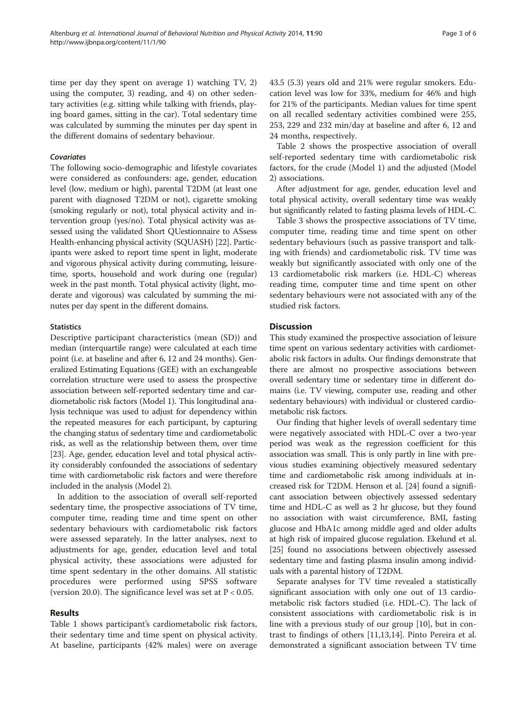time per day they spent on average 1) watching TV, 2) using the computer, 3) reading, and 4) on other sedentary activities (e.g. sitting while talking with friends, playing board games, sitting in the car). Total sedentary time was calculated by summing the minutes per day spent in the different domains of sedentary behaviour.

#### Covariates

The following socio-demographic and lifestyle covariates were considered as confounders: age, gender, education level (low, medium or high), parental T2DM (at least one parent with diagnosed T2DM or not), cigarette smoking (smoking regularly or not), total physical activity and intervention group (yes/no). Total physical activity was assessed using the validated Short QUestionnaire to ASsess Health-enhancing physical activity (SQUASH) [[22](#page-5-0)]. Participants were asked to report time spent in light, moderate and vigorous physical activity during commuting, leisuretime, sports, household and work during one (regular) week in the past month. Total physical activity (light, moderate and vigorous) was calculated by summing the minutes per day spent in the different domains.

#### **Statistics**

Descriptive participant characteristics (mean (SD)) and median (interquartile range) were calculated at each time point (i.e. at baseline and after 6, 12 and 24 months). Generalized Estimating Equations (GEE) with an exchangeable correlation structure were used to assess the prospective association between self-reported sedentary time and cardiometabolic risk factors (Model 1). This longitudinal analysis technique was used to adjust for dependency within the repeated measures for each participant, by capturing the changing status of sedentary time and cardiometabolic risk, as well as the relationship between them, over time [[23](#page-5-0)]. Age, gender, education level and total physical activity considerably confounded the associations of sedentary time with cardiometabolic risk factors and were therefore included in the analysis (Model 2).

In addition to the association of overall self-reported sedentary time, the prospective associations of TV time, computer time, reading time and time spent on other sedentary behaviours with cardiometabolic risk factors were assessed separately. In the latter analyses, next to adjustments for age, gender, education level and total physical activity, these associations were adjusted for time spent sedentary in the other domains. All statistic procedures were performed using SPSS software (version 20.0). The significance level was set at  $P < 0.05$ .

### Results

Table [1](#page-3-0) shows participant's cardiometabolic risk factors, their sedentary time and time spent on physical activity. At baseline, participants (42% males) were on average 43.5 (5.3) years old and 21% were regular smokers. Education level was low for 33%, medium for 46% and high for 21% of the participants. Median values for time spent on all recalled sedentary activities combined were 255, 253, 229 and 232 min/day at baseline and after 6, 12 and 24 months, respectively.

Table [2](#page-4-0) shows the prospective association of overall self-reported sedentary time with cardiometabolic risk factors, for the crude (Model 1) and the adjusted (Model 2) associations.

After adjustment for age, gender, education level and total physical activity, overall sedentary time was weakly but significantly related to fasting plasma levels of HDL-C.

Table [3](#page-4-0) shows the prospective associations of TV time, computer time, reading time and time spent on other sedentary behaviours (such as passive transport and talking with friends) and cardiometabolic risk. TV time was weakly but significantly associated with only one of the 13 cardiometabolic risk markers (i.e. HDL-C) whereas reading time, computer time and time spent on other sedentary behaviours were not associated with any of the studied risk factors.

#### **Discussion**

This study examined the prospective association of leisure time spent on various sedentary activities with cardiometabolic risk factors in adults. Our findings demonstrate that there are almost no prospective associations between overall sedentary time or sedentary time in different domains (i.e. TV viewing, computer use, reading and other sedentary behaviours) with individual or clustered cardiometabolic risk factors.

Our finding that higher levels of overall sedentary time were negatively associated with HDL-C over a two-year period was weak as the regression coefficient for this association was small. This is only partly in line with previous studies examining objectively measured sedentary time and cardiometabolic risk among individuals at increased risk for T2DM. Henson et al. [[24](#page-5-0)] found a significant association between objectively assessed sedentary time and HDL-C as well as 2 hr glucose, but they found no association with waist circumference, BMI, fasting glucose and HbA1c among middle aged and older adults at high risk of impaired glucose regulation. Ekelund et al. [[25](#page-5-0)] found no associations between objectively assessed sedentary time and fasting plasma insulin among individuals with a parental history of T2DM.

Separate analyses for TV time revealed a statistically significant association with only one out of 13 cardiometabolic risk factors studied (i.e. HDL-C). The lack of consistent associations with cardiometabolic risk is in line with a previous study of our group [[10](#page-5-0)], but in contrast to findings of others [\[11,13,14\]](#page-5-0). Pinto Pereira et al. demonstrated a significant association between TV time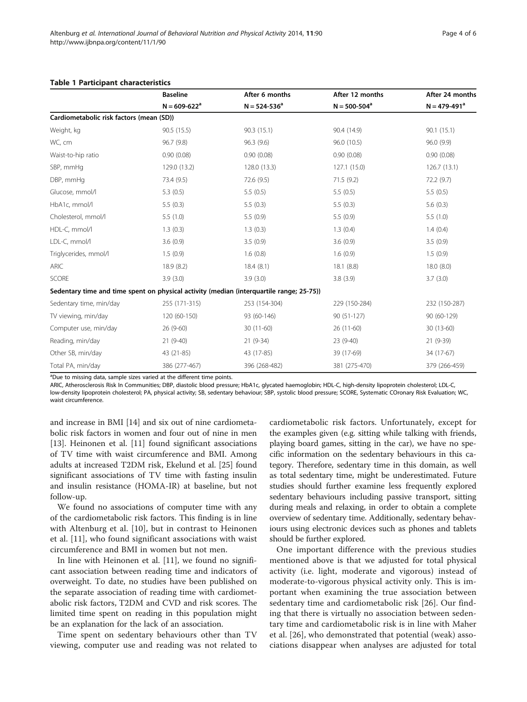|                                                                                          | <b>Baseline</b><br>$N = 609 - 622^a$ | After 6 months<br>$N = 524 - 536^a$ | After 12 months<br>$N = 500 - 504^a$ | After 24 months<br>$N = 479 - 491^a$ |
|------------------------------------------------------------------------------------------|--------------------------------------|-------------------------------------|--------------------------------------|--------------------------------------|
|                                                                                          |                                      |                                     |                                      |                                      |
| Cardiometabolic risk factors (mean (SD))                                                 |                                      |                                     |                                      |                                      |
| Weight, kg                                                                               | 90.5(15.5)                           | 90.3(15.1)                          | 90.4 (14.9)                          | 90.1(15.1)                           |
| WC, cm                                                                                   | 96.7 (9.8)                           | 96.3(9.6)                           | 96.0 (10.5)                          | 96.0 (9.9)                           |
| Waist-to-hip ratio                                                                       | 0.90(0.08)                           | 0.90(0.08)                          | 0.90(0.08)                           | 0.90(0.08)                           |
| SBP, mmHq                                                                                | 129.0 (13.2)                         | 128.0 (13.3)                        | 127.1 (15.0)                         | 126.7 (13.1)                         |
| DBP, mmHq                                                                                | 73.4 (9.5)                           | 72.6 (9.5)                          | 71.5(9.2)                            | 72.2 (9.7)                           |
| Glucose, mmol/l                                                                          | 5.3(0.5)                             | 5.5(0.5)                            | 5.5(0.5)                             | 5.5(0.5)                             |
| HbA1c, mmol/l                                                                            | 5.5(0.3)                             | 5.5(0.3)                            | 5.5(0.3)                             | 5.6(0.3)                             |
| Cholesterol, mmol/l                                                                      | 5.5(1.0)                             | 5.5(0.9)                            | 5.5(0.9)                             | 5.5(1.0)                             |
| HDL-C, mmol/l                                                                            | 1.3(0.3)                             | 1.3(0.3)                            | 1.3(0.4)                             | 1.4(0.4)                             |
| LDL-C, mmol/l                                                                            | 3.6(0.9)                             | 3.5(0.9)                            | 3.6(0.9)                             | 3.5(0.9)                             |
| Triglycerides, mmol/l                                                                    | 1.5(0.9)                             | 1.6(0.8)                            | 1.6(0.9)                             | 1.5(0.9)                             |
| <b>ARIC</b>                                                                              | 18.9 (8.2)                           | 18.4(8.1)                           | 18.1 (8.8)                           | 18.0(8.0)                            |
| <b>SCORE</b>                                                                             | 3.9(3.0)                             | 3.9(3.0)                            | 3.8(3.9)                             | 3.7(3.0)                             |
| Sedentary time and time spent on physical activity (median (interquartile range; 25-75)) |                                      |                                     |                                      |                                      |
| Sedentary time, min/day                                                                  | 255 (171-315)                        | 253 (154-304)                       | 229 (150-284)                        | 232 (150-287)                        |
| TV viewing, min/day                                                                      | 120 (60-150)                         | 93 (60-146)                         | $90(51-127)$                         | 90 (60-129)                          |
| Computer use, min/day                                                                    | 26 (9-60)                            | $30(11-60)$                         | $26(11-60)$                          | 30 (13-60)                           |
| Reading, min/day                                                                         | $21(9-40)$                           | $21(9-34)$                          | $23(9-40)$                           | $21(9-39)$                           |
| Other SB, min/day                                                                        | 43 (21-85)                           | 43 (17-85)                          | 39 (17-69)                           | 34 (17-67)                           |
| Total PA, min/day                                                                        | 386 (277-467)                        | 396 (268-482)                       | 381 (275-470)                        | 379 (266-459)                        |

#### <span id="page-3-0"></span>Table 1 Participant characteristics

<sup>a</sup>Due to missing data, sample sizes varied at the different time points.

ARIC, Atherosclerosis Risk In Communities; DBP, diastolic blood pressure; HbA1c, glycated haemoglobin; HDL-C, high-density lipoprotein cholesterol; LDL-C, low-density lipoprotein cholesterol; PA, physical activity; SB, sedentary behaviour; SBP, systolic blood pressure; SCORE, Systematic COronary Risk Evaluation; WC, waist circumference.

and increase in BMI [[14](#page-5-0)] and six out of nine cardiometabolic risk factors in women and four out of nine in men [[13\]](#page-5-0). Heinonen et al. [\[11\]](#page-5-0) found significant associations of TV time with waist circumference and BMI. Among adults at increased T2DM risk, Ekelund et al. [\[25](#page-5-0)] found significant associations of TV time with fasting insulin and insulin resistance (HOMA-IR) at baseline, but not follow-up.

We found no associations of computer time with any of the cardiometabolic risk factors. This finding is in line with Altenburg et al. [[10\]](#page-5-0), but in contrast to Heinonen et al. [\[11](#page-5-0)], who found significant associations with waist circumference and BMI in women but not men.

In line with Heinonen et al. [[11](#page-5-0)], we found no significant association between reading time and indicators of overweight. To date, no studies have been published on the separate association of reading time with cardiometabolic risk factors, T2DM and CVD and risk scores. The limited time spent on reading in this population might be an explanation for the lack of an association.

Time spent on sedentary behaviours other than TV viewing, computer use and reading was not related to

cardiometabolic risk factors. Unfortunately, except for the examples given (e.g. sitting while talking with friends, playing board games, sitting in the car), we have no specific information on the sedentary behaviours in this category. Therefore, sedentary time in this domain, as well as total sedentary time, might be underestimated. Future studies should further examine less frequently explored sedentary behaviours including passive transport, sitting during meals and relaxing, in order to obtain a complete overview of sedentary time. Additionally, sedentary behaviours using electronic devices such as phones and tablets should be further explored.

One important difference with the previous studies mentioned above is that we adjusted for total physical activity (i.e. light, moderate and vigorous) instead of moderate-to-vigorous physical activity only. This is important when examining the true association between sedentary time and cardiometabolic risk [[26\]](#page-5-0). Our finding that there is virtually no association between sedentary time and cardiometabolic risk is in line with Maher et al. [\[26](#page-5-0)], who demonstrated that potential (weak) associations disappear when analyses are adjusted for total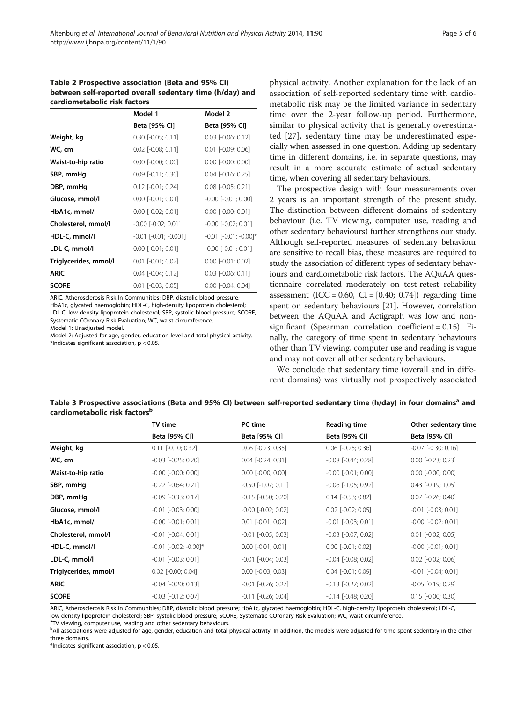#### <span id="page-4-0"></span>Table 2 Prospective association (Beta and 95% CI) between self-reported overall sedentary time (h/day) and cardiometabolic risk factors

|                       | Model 1                     | Model 2                     |
|-----------------------|-----------------------------|-----------------------------|
|                       | Beta [95% CI]               | Beta [95% CI]               |
| Weight, kg            | $0.30$ [ $-0.05$ ; $0.11$ ] | $0.03$ [ $-0.06$ ; $0.12$ ] |
| WC, cm                | $0.02$ [-0.08; 0.11]        | $0.01$ [-0.09; 0.06]        |
| Waist-to-hip ratio    | $0.00$ [-0.00; 0.00]        | $0.00$ [-0.00; 0.00]        |
| SBP, mmHg             | $0.09$ [-0.11; 0.30]        | $0.04$ [-0.16; 0.25]        |
| DBP, mmHg             | $0.12$ [-0.01; 0.24]        | $0.08$ [ $-0.05; 0.21$ ]    |
| Glucose, mmol/l       | $0.00$ [-0.01; 0.01]        | $-0.00$ $[-0.01; 0.00]$     |
| HbA1c, mmol/l         | $0.00$ [-0.02; 0.01]        | $0.00$ [-0.00; 0.01]        |
| Cholesterol, mmol/l   | $-0.00$ $[-0.02; 0.01]$     | $-0.00$ $[-0.02; 0.01]$     |
| HDL-C, mmol/l         | $-0.01$ $[-0.01; -0.001]$   | $-0.01$ $[-0.01; -0.00]$ *  |
| LDL-C, mmol/l         | $0.00$ [-0.01; 0.01]        | $-0.00$ $[-0.01; 0.01]$     |
| Triglycerides, mmol/l | $0.01$ [-0.01; 0.02]        | $0.00$ [-0.01; 0.02]        |
| <b>ARIC</b>           | $0.04$ [ $-0.04$ ; $0.12$ ] | $0.03$ [ $-0.06$ ; $0.11$ ] |
| <b>SCORE</b>          | $0.01$ [ $-0.03$ ; $0.05$ ] | $0.00$ $[-0.04; 0.04]$      |

ARIC, Atherosclerosis Risk In Communities; DBP, diastolic blood pressure;

HbA1c, glycated haemoglobin; HDL-C, high-density lipoprotein cholesterol; LDL-C, low-density lipoprotein cholesterol; SBP, systolic blood pressure; SCORE, Systematic COronary Risk Evaluation; WC, waist circumference.

Model 1: Unadjusted model.

Model 2: Adjusted for age, gender, education level and total physical activity. \*Indicates significant association, p < 0.05.

physical activity. Another explanation for the lack of an association of self-reported sedentary time with cardiometabolic risk may be the limited variance in sedentary time over the 2-year follow-up period. Furthermore, similar to physical activity that is generally overestimated [\[27](#page-5-0)], sedentary time may be underestimated especially when assessed in one question. Adding up sedentary time in different domains, i.e. in separate questions, may result in a more accurate estimate of actual sedentary time, when covering all sedentary behaviours.

The prospective design with four measurements over 2 years is an important strength of the present study. The distinction between different domains of sedentary behaviour (i.e. TV viewing, computer use, reading and other sedentary behaviours) further strengthens our study. Although self-reported measures of sedentary behaviour are sensitive to recall bias, these measures are required to study the association of different types of sedentary behaviours and cardiometabolic risk factors. The AQuAA questionnaire correlated moderately on test-retest reliability assessment  $(ICC = 0.60, CI = [0.40; 0.74])$  regarding time spent on sedentary behaviours [[21](#page-5-0)]. However, correlation between the AQuAA and Actigraph was low and nonsignificant (Spearman correlation coefficient = 0.15). Finally, the category of time spent in sedentary behaviours other than TV viewing, computer use and reading is vague and may not cover all other sedentary behaviours.

We conclude that sedentary time (overall and in different domains) was virtually not prospectively associated

| Table 3 Prospective associations (Beta and 95% CI) between self-reported sedentary time (h/day) in four domains <sup>a</sup> and |  |
|----------------------------------------------------------------------------------------------------------------------------------|--|
| cardiometabolic risk factors <sup>b</sup>                                                                                        |  |

|                       | TV time                        | PC time                     | <b>Reading time</b>     | Other sedentary time    |
|-----------------------|--------------------------------|-----------------------------|-------------------------|-------------------------|
|                       | Beta [95% CI]                  | Beta [95% CI]               | Beta [95% CI]           | Beta [95% CI]           |
| Weight, kg            | $0.11$ [-0.10; 0.32]           | $0.06$ [-0.23; 0.35]        | $0.06$ [-0.25; 0.36]    | $-0.07$ $[-0.30; 0.16]$ |
| WC, cm                | $-0.03$ $[-0.25; 0.20]$        | $0.04$ [ $-0.24$ ; $0.31$ ] | $-0.08$ $[-0.44; 0.28]$ | $0.00$ $[-0.23; 0.23]$  |
| Waist-to-hip ratio    | $-0.00$ $[-0.00; 0.00]$        | $0.00$ [-0.00; 0.00]        | $-0.00$ $[-0.01; 0.00]$ | $0.00$ [-0.00; 0.00]    |
| SBP, mmHg             | $-0.22$ $[-0.64; 0.21]$        | $-0.50$ $[-1.07; 0.11]$     | $-0.06$ $[-1.05; 0.92]$ | $0.43$ [-0.19; 1.05]    |
| DBP, mmHg             | $-0.09$ $[-0.33; 0.17]$        | $-0.15$ $[-0.50; 0.20]$     | $0.14$ [-0.53; 0.82]    | $0.07$ $[-0.26; 0.40]$  |
| Glucose, mmol/l       | $-0.01$ $[-0.03; 0.00]$        | $-0.00$ $[-0.02; 0.02]$     | $0.02$ [-0.02; 0.05]    | $-0.01$ $[-0.03; 0.01]$ |
| HbA1c, mmol/l         | $-0.00$ $[-0.01; 0.01]$        | $0.01$ [-0.01; 0.02]        | $-0.01$ $[-0.03; 0.01]$ | $-0.00$ $[-0.02; 0.01]$ |
| Cholesterol, mmol/l   | $-0.01$ $[-0.04; 0.01]$        | $-0.01$ $[-0.05; 0.03]$     | $-0.03$ $[-0.07; 0.02]$ | $0.01$ [-0.02; 0.05]    |
| HDL-C, mmol/l         | $-0.01$ [ $-0.02$ ; $-0.00$ ]* | $0.00$ [-0.01; 0.01]        | $0.00$ [-0.01; 0.02]    | $-0.00$ $[-0.01; 0.01]$ |
| LDL-C, mmol/l         | $-0.01$ $[-0.03; 0.01]$        | $-0.01$ $[-0.04; 0.03]$     | $-0.04$ $[-0.08; 0.02]$ | $0.02$ $[-0.02; 0.06]$  |
| Triglycerides, mmol/l | $0.02$ [-0.00; 0.04]           | $0.00$ $[-0.03; 0.03]$      | $0.04$ [-0.01; 0.09]    | $-0.01$ $[-0.04; 0.01]$ |
| ARIC                  | $-0.04$ $[-0.20; 0.13]$        | $-0.01$ $[-0.26; 0.27]$     | $-0.13$ $[-0.27; 0.02]$ | $-0.05$ [0.19; 0.29]    |
| <b>SCORE</b>          | $-0.03$ $[-0.12; 0.07]$        | $-0.11$ $[-0.26; 0.04]$     | $-0.14$ $[-0.48; 0.20]$ | $0.15$ [-0.00; 0.30]    |

ARIC, Atherosclerosis Risk In Communities; DBP, diastolic blood pressure; HbA1c, glycated haemoglobin; HDL-C, high-density lipoprotein cholesterol; LDL-C, low-density lipoprotein cholesterol; SBP, systolic blood pressure; SCORE, Systematic COronary Risk Evaluation; WC, waist circumference.

<sup>a</sup>TV viewing, computer use, reading and other sedentary behaviours.

b<br>All associations were adjusted for age, gender, education and total physical activity. In addition, the models were adjusted for time spent sedentary in the other three domains.

\*Indicates significant association, p < 0.05.